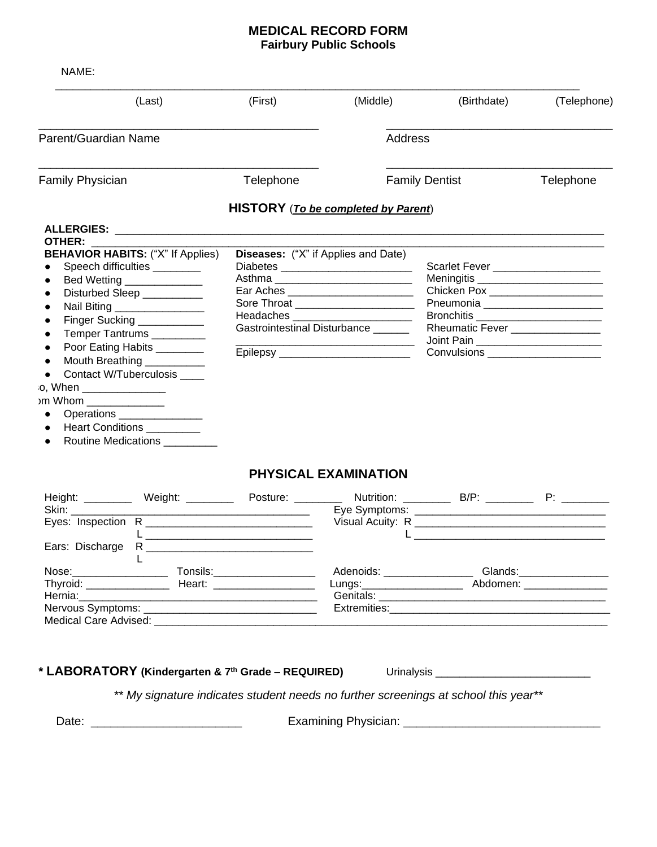## **MEDICAL RECORD FORM Fairbury Public Schools**

| (Last)                                                                                                                                                                                                                         | (First)                                    | (Middle) | (Birthdate)                                                             | (Telephone) |
|--------------------------------------------------------------------------------------------------------------------------------------------------------------------------------------------------------------------------------|--------------------------------------------|----------|-------------------------------------------------------------------------|-------------|
|                                                                                                                                                                                                                                |                                            |          |                                                                         |             |
| Parent/Guardian Name                                                                                                                                                                                                           |                                            | Address  |                                                                         |             |
| <b>Family Physician</b>                                                                                                                                                                                                        | Telephone                                  |          | <b>Family Dentist</b>                                                   | Telephone   |
|                                                                                                                                                                                                                                | HISTORY (To be completed by Parent)        |          |                                                                         |             |
| OTHER: The contract of the contract of the contract of the contract of the contract of the contract of the contract of the contract of the contract of the contract of the contract of the contract of the contract of the con |                                            |          |                                                                         |             |
| <b>BEHAVIOR HABITS: ("X" If Applies)</b>                                                                                                                                                                                       | <b>Diseases:</b> ("X" if Applies and Date) |          |                                                                         |             |
| Speech difficulties _________                                                                                                                                                                                                  |                                            |          | Scarlet Fever ____________________                                      |             |
| Bed Wetting _______________                                                                                                                                                                                                    | Asthma _____________________________       |          |                                                                         |             |
| Disturbed Sleep __________                                                                                                                                                                                                     | Ear Aches ___________________________      |          | Chicken Pox _______________________                                     |             |
| Nail Biting _________________                                                                                                                                                                                                  | Sore Throat _______________________        |          | Pneumonia _________________________                                     |             |
| Finger Sucking ___________                                                                                                                                                                                                     | Headaches _________________________        |          |                                                                         |             |
| Temper Tantrums _________                                                                                                                                                                                                      | Gastrointestinal Disturbance               |          | Rheumatic Fever _______________<br>Joint Pain _________________________ |             |
| Poor Eating Habits ________                                                                                                                                                                                                    | Epilepsy ___________________________       |          | <b>Convulsions Convulsions</b>                                          |             |
| Mouth Breathing __________                                                                                                                                                                                                     |                                            |          |                                                                         |             |
| Contact W/Tuberculosis ____                                                                                                                                                                                                    |                                            |          |                                                                         |             |
| o, When _______________                                                                                                                                                                                                        |                                            |          |                                                                         |             |
| )m Whom ________________                                                                                                                                                                                                       |                                            |          |                                                                         |             |
| Operations _______________                                                                                                                                                                                                     |                                            |          |                                                                         |             |
| Heart Conditions __________                                                                                                                                                                                                    |                                            |          |                                                                         |             |
| Routine Medications                                                                                                                                                                                                            |                                            |          |                                                                         |             |

## **PHYSICAL EXAMINATION**

| Skin: <b>Sking Sking</b> | Height: __________ Weight: ________                                                                            | Posture: ________ | Eye Symptoms: _______________ | Nutrition: B/P:<br><u> 1980 - Jan Samuel Germany, menyebarkan berkembang di pada 1980 - Pada Barat Barat Barat Barat Barat Barat Bar</u> | $P:$ and $P:$ |
|--------------------------|----------------------------------------------------------------------------------------------------------------|-------------------|-------------------------------|------------------------------------------------------------------------------------------------------------------------------------------|---------------|
| Ears: Discharge          |                                                                                                                |                   |                               |                                                                                                                                          |               |
| Nose:_________________   | Tonsils:__________________                                                                                     |                   | Adenoids: _____________       | Glands:_____________                                                                                                                     |               |
|                          |                                                                                                                |                   | Lungs:_______________________ | Abdomen: ____________                                                                                                                    |               |
|                          | Hernia: 2008 - 2010 - 2010 - 2010 - 2010 - 2010 - 2010 - 2010 - 2010 - 2010 - 2010 - 2010 - 2010 - 2010 - 2010 |                   |                               |                                                                                                                                          |               |
|                          | Nervous Symptoms: ____________________                                                                         |                   | Extremities: Extremities      |                                                                                                                                          |               |
| Medical Care Advised:    |                                                                                                                |                   |                               |                                                                                                                                          |               |

**\* LABORATORY (Kindergarten & 7th Grade – REQUIRED)** Urinalysis \_\_\_\_\_\_\_\_\_\_\_\_\_\_\_\_\_\_\_\_\_\_\_\_\_\_

*\*\* My signature indicates student needs no further screenings at school this year\*\**

Date: \_\_\_\_\_\_\_\_\_\_\_\_\_\_\_\_\_\_\_\_\_\_\_ Examining Physician: \_\_\_\_\_\_\_\_\_\_\_\_\_\_\_\_\_\_\_\_\_\_\_\_\_\_\_\_\_\_